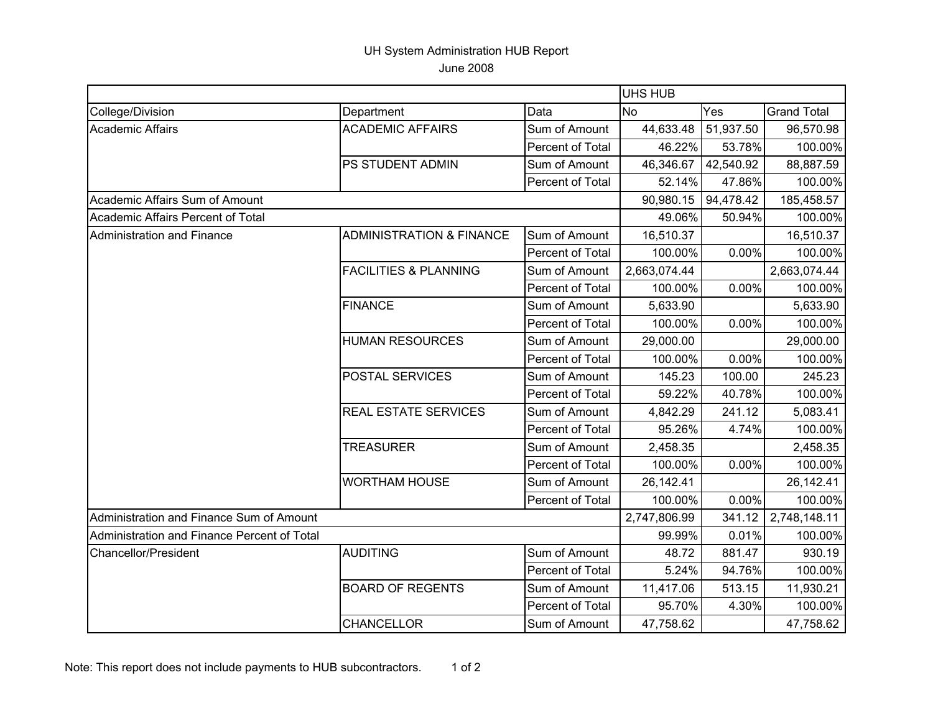## UH System Administration HUB Report June 2008

|                                             |                                     |                  | <b>UHS HUB</b> |           |                    |
|---------------------------------------------|-------------------------------------|------------------|----------------|-----------|--------------------|
| College/Division                            | Department                          | Data             | <b>No</b>      | Yes       | <b>Grand Total</b> |
| <b>Academic Affairs</b>                     | <b>ACADEMIC AFFAIRS</b>             | Sum of Amount    | 44,633.48      | 51,937.50 | 96,570.98          |
|                                             |                                     | Percent of Total | 46.22%         | 53.78%    | 100.00%            |
|                                             | PS STUDENT ADMIN                    | Sum of Amount    | 46,346.67      | 42,540.92 | 88,887.59          |
|                                             |                                     | Percent of Total | 52.14%         | 47.86%    | 100.00%            |
| Academic Affairs Sum of Amount              |                                     |                  | 90,980.15      | 94,478.42 | 185,458.57         |
| Academic Affairs Percent of Total           |                                     |                  | 49.06%         | 50.94%    | 100.00%            |
| Administration and Finance                  | <b>ADMINISTRATION &amp; FINANCE</b> | Sum of Amount    | 16,510.37      |           | 16,510.37          |
|                                             |                                     | Percent of Total | 100.00%        | 0.00%     | 100.00%            |
|                                             | <b>FACILITIES &amp; PLANNING</b>    | Sum of Amount    | 2,663,074.44   |           | 2,663,074.44       |
|                                             |                                     | Percent of Total | 100.00%        | 0.00%     | 100.00%            |
|                                             | <b>FINANCE</b>                      | Sum of Amount    | 5,633.90       |           | 5,633.90           |
|                                             |                                     | Percent of Total | 100.00%        | 0.00%     | 100.00%            |
|                                             | <b>HUMAN RESOURCES</b>              | Sum of Amount    | 29,000.00      |           | 29,000.00          |
|                                             |                                     | Percent of Total | 100.00%        | 0.00%     | 100.00%            |
|                                             | <b>POSTAL SERVICES</b>              | Sum of Amount    | 145.23         | 100.00    | 245.23             |
|                                             |                                     | Percent of Total | 59.22%         | 40.78%    | 100.00%            |
|                                             | <b>REAL ESTATE SERVICES</b>         | Sum of Amount    | 4,842.29       | 241.12    | 5,083.41           |
|                                             |                                     | Percent of Total | 95.26%         | 4.74%     | 100.00%            |
|                                             | <b>TREASURER</b>                    | Sum of Amount    | 2,458.35       |           | 2,458.35           |
|                                             |                                     | Percent of Total | 100.00%        | 0.00%     | 100.00%            |
|                                             | <b>WORTHAM HOUSE</b>                | Sum of Amount    | 26,142.41      |           | 26,142.41          |
|                                             |                                     | Percent of Total | 100.00%        | 0.00%     | 100.00%            |
| Administration and Finance Sum of Amount    |                                     |                  | 2,747,806.99   | 341.12    | 2,748,148.11       |
| Administration and Finance Percent of Total |                                     |                  | 99.99%         | 0.01%     | 100.00%            |
| <b>Chancellor/President</b>                 | <b>AUDITING</b>                     | Sum of Amount    | 48.72          | 881.47    | 930.19             |
|                                             |                                     | Percent of Total | 5.24%          | 94.76%    | 100.00%            |
|                                             | <b>BOARD OF REGENTS</b>             | Sum of Amount    | 11,417.06      | 513.15    | 11,930.21          |
|                                             |                                     | Percent of Total | 95.70%         | 4.30%     | 100.00%            |
|                                             | <b>CHANCELLOR</b>                   | Sum of Amount    | 47,758.62      |           | 47,758.62          |